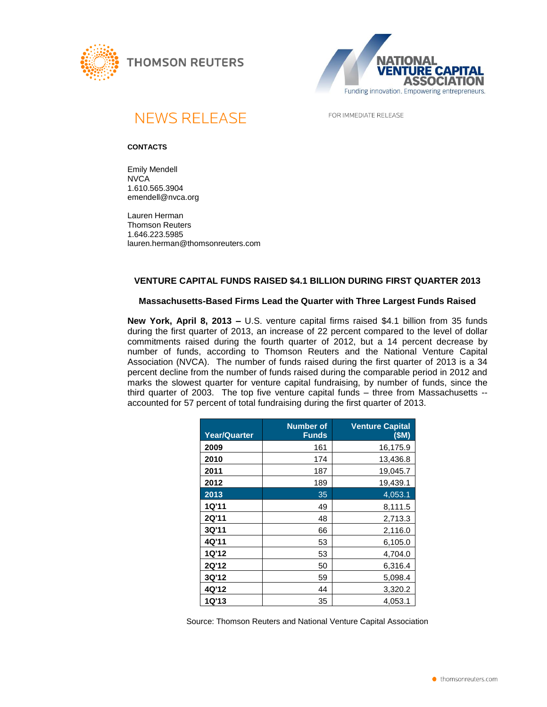





**NEWS RELEASE** 

FOR IMMEDIATE RELEASE

### **CONTACTS**

Emily Mendell **NVCA** 1.610.565.3904 emendell@nvca.org

Lauren Herman Thomson Reuters 1.646.223.5985 lauren.herman@thomsonreuters.com

# **VENTURE CAPITAL FUNDS RAISED \$4.1 BILLION DURING FIRST QUARTER 2013**

## **Massachusetts-Based Firms Lead the Quarter with Three Largest Funds Raised**

**New York, April 8, 2013 –** U.S. venture capital firms raised \$4.1 billion from 35 funds during the first quarter of 2013, an increase of 22 percent compared to the level of dollar commitments raised during the fourth quarter of 2012, but a 14 percent decrease by number of funds, according to Thomson Reuters and the National Venture Capital Association (NVCA). The number of funds raised during the first quarter of 2013 is a 34 percent decline from the number of funds raised during the comparable period in 2012 and marks the slowest quarter for venture capital fundraising, by number of funds, since the third quarter of 2003. The top five venture capital funds – three from Massachusetts - accounted for 57 percent of total fundraising during the first quarter of 2013.

| <b>Year/Quarter</b> | <b>Number of</b><br><b>Funds</b> | <b>Venture Capital</b><br>(SM) |
|---------------------|----------------------------------|--------------------------------|
| 2009                | 161                              | 16,175.9                       |
| 2010                | 174                              | 13,436.8                       |
| 2011                | 187                              | 19,045.7                       |
| 2012                | 189                              | 19,439.1                       |
| 2013                | 35                               | 4,053.1                        |
| 1Q'11               | 49                               | 8,111.5                        |
| <b>2Q'11</b>        | 48                               | 2,713.3                        |
| 3Q'11               | 66                               | 2,116.0                        |
| 4Q'11               | 53                               | 6,105.0                        |
| <b>1Q'12</b>        | 53                               | 4,704.0                        |
| 2Q'12               | 50                               | 6,316.4                        |
| 3Q'12               | 59                               | 5,098.4                        |
| 4Q'12               | 44                               | 3,320.2                        |
| 1Q'13               | 35                               | 4,053.1                        |

Source: Thomson Reuters and National Venture Capital Association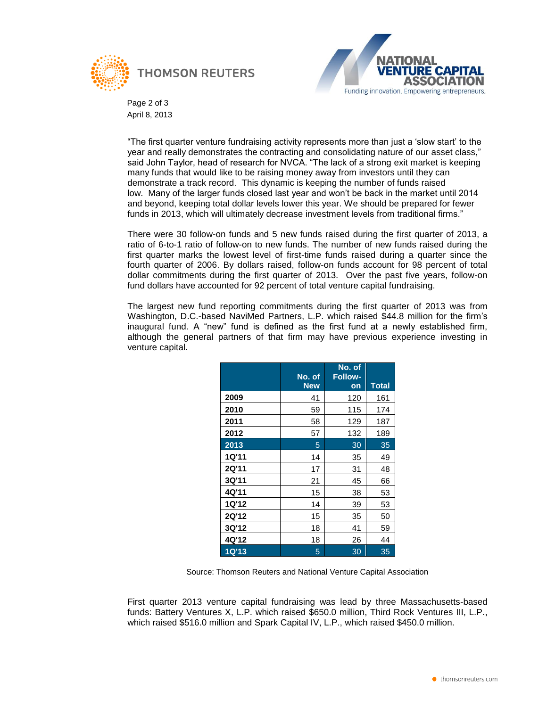



Page 2 of 3 April 8, 2013

"The first quarter venture fundraising activity represents more than just a "slow start" to the year and really demonstrates the contracting and consolidating nature of our asset class," said John Taylor, head of research for NVCA. "The lack of a strong exit market is keeping many funds that would like to be raising money away from investors until they can demonstrate a track record. This dynamic is keeping the number of funds raised low. Many of the larger funds closed last year and won"t be back in the market until 2014 and beyond, keeping total dollar levels lower this year. We should be prepared for fewer funds in 2013, which will ultimately decrease investment levels from traditional firms."

There were 30 follow-on funds and 5 new funds raised during the first quarter of 2013, a ratio of 6-to-1 ratio of follow-on to new funds. The number of new funds raised during the first quarter marks the lowest level of first-time funds raised during a quarter since the fourth quarter of 2006. By dollars raised, follow-on funds account for 98 percent of total dollar commitments during the first quarter of 2013. Over the past five years, follow-on fund dollars have accounted for 92 percent of total venture capital fundraising.

The largest new fund reporting commitments during the first quarter of 2013 was from Washington, D.C.-based NaviMed Partners, L.P. which raised \$44.8 million for the firm"s inaugural fund. A "new" fund is defined as the first fund at a newly established firm, although the general partners of that firm may have previous experience investing in venture capital.

|              | No. of<br><b>New</b> | No. of<br><b>Follow-</b><br><b>on</b> | <b>Total</b> |
|--------------|----------------------|---------------------------------------|--------------|
| 2009         | 41                   | 120                                   | 161          |
| 2010         | 59                   | 115                                   | 174          |
| 2011         | 58                   | 129                                   | 187          |
| 2012         | 57                   | 132                                   | 189          |
| 2013         | 5                    | 30                                    | 35           |
| <b>1Q'11</b> | 14                   | 35                                    | 49           |
| 2Q'11        | 17                   | 31                                    | 48           |
| 3Q'11        | 21                   | 45                                    | 66           |
| 4Q'11        | 15                   | 38                                    | 53           |
| <b>1Q'12</b> | 14                   | 39                                    | 53           |
| <b>2Q'12</b> | 15                   | 35                                    | 50           |
| 3Q'12        | 18                   | 41                                    | 59           |
| 4Q'12        | 18                   | 26                                    | 44           |
| <b>1Q'13</b> | 5                    | 30                                    | 35           |

Source: Thomson Reuters and National Venture Capital Association

First quarter 2013 venture capital fundraising was lead by three Massachusetts-based funds: Battery Ventures X, L.P. which raised \$650.0 million, Third Rock Ventures III, L.P., which raised \$516.0 million and Spark Capital IV, L.P., which raised \$450.0 million.